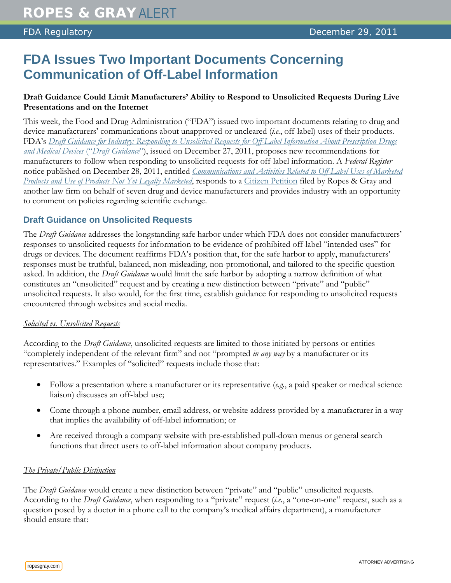# **FDA Issues Two Important Documents Concerning Communication of Off-Label Information**

### **Draft Guidance Could Limit Manufacturers' Ability to Respond to Unsolicited Requests During Live Presentations and on the Internet**

This week, the Food and Drug Administration ("FDA") issued two important documents relating to drug and device manufacturers' communications about unapproved or uncleared (*i.e.*, off-label) uses of their products. FDA's *[Draft Guidance for Industry: Responding to Unsolicited Requests for Off-Label Information About Prescription Drugs](http://www.fda.gov/downloads/Drugs/GuidanceComplianceRegulatoryInformation/Guidances/UCM285145.pdf?source=govdelivery)  [and Medical Devices](http://www.fda.gov/downloads/Drugs/GuidanceComplianceRegulatoryInformation/Guidances/UCM285145.pdf?source=govdelivery)* ("*Draft Guidance*"), issued on December 27, 2011, proposes new recommendations for manufacturers to follow when responding to unsolicited requests for off-label information. A *Federal Register* notice published on December 28, 2011, entitled *[Communications and Activities Related to Off-Label Uses of Marketed](http://www.gpo.gov/fdsys/pkg/FR-2011-12-28/pdf/2011-33188.pdf)  [Products and Use of Products Not Yet Legally Marketed](http://www.gpo.gov/fdsys/pkg/FR-2011-12-28/pdf/2011-33188.pdf)*, responds to a [Citizen Petition](http://www.ropesgray.com/files/upload/20111229CitizenPetition.pdf) filed by Ropes & Gray and another law firm on behalf of seven drug and device manufacturers and provides industry with an opportunity to comment on policies regarding scientific exchange.

## **Draft Guidance on Unsolicited Requests**

The *Draft Guidance* addresses the longstanding safe harbor under which FDA does not consider manufacturers' responses to unsolicited requests for information to be evidence of prohibited off-label "intended uses" for drugs or devices. The document reaffirms FDA's position that, for the safe harbor to apply, manufacturers' responses must be truthful, balanced, non-misleading, non-promotional, and tailored to the specific question asked. In addition, the *Draft Guidance* would limit the safe harbor by adopting a narrow definition of what constitutes an "unsolicited" request and by creating a new distinction between "private" and "public" unsolicited requests. It also would, for the first time, establish guidance for responding to unsolicited requests encountered through websites and social media.

#### *Solicited vs. Unsolicited Requests*

According to the *Draft Guidance*, unsolicited requests are limited to those initiated by persons or entities "completely independent of the relevant firm" and not "prompted *in any way* by a manufacturer or its representatives." Examples of "solicited" requests include those that:

- Follow a presentation where a manufacturer or its representative (*e.g.*, a paid speaker or medical science liaison) discusses an off-label use;
- Come through a phone number, email address, or website address provided by a manufacturer in a way that implies the availability of off-label information; or
- Are received through a company website with pre-established pull-down menus or general search functions that direct users to off-label information about company products.

#### *The Private/Public Distinction*

The *Draft Guidance* would create a new distinction between "private" and "public" unsolicited requests. According to the *Draft Guidance*, when responding to a "private" request (*i.e.*, a "one-on-one" request, such as a question posed by a doctor in a phone call to the company's medical affairs department), a manufacturer should ensure that: